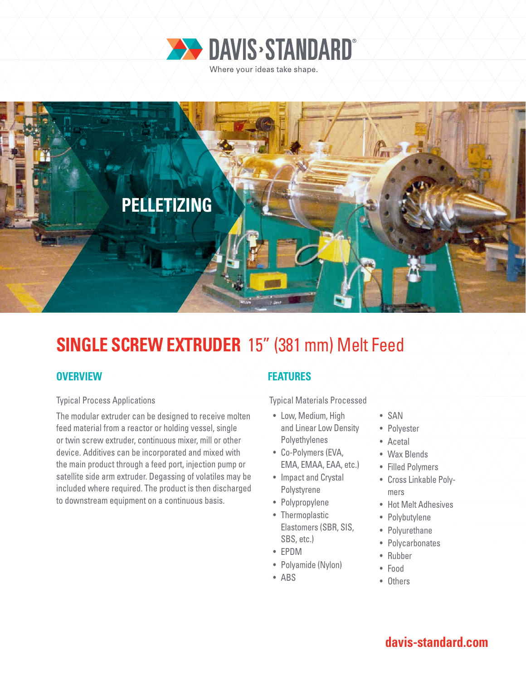



# **SINGLE SCREW EXTRUDER** 15" (381 mm) Melt Feed

## **OVERVIEW**

#### Typical Process Applications

The modular extruder can be designed to receive molten feed material from a reactor or holding vessel, single or twin screw extruder, continuous mixer, mill or other device. Additives can be incorporated and mixed with the main product through a feed port, injection pump or satellite side arm extruder. Degassing of volatiles may be included where required. The product is then discharged to downstream equipment on a continuous basis.

## **FEATURES**

Typical Materials Processed

- Low, Medium, High and Linear Low Density Polyethylenes
- Co-Polymers (EVA, EMA, EMAA, EAA, etc.)
- Impact and Crystal Polystyrene
- Polypropylene
- Thermoplastic Elastomers (SBR, SIS, SBS, etc.)
- EPDM
- Polyamide (Nylon)
- ABS
- SAN
- Polyester
- Acetal
- Wax Blends
- Filled Polymers
- Cross Linkable Polymers
- Hot Melt Adhesives
- Polybutylene
- Polyurethane
- Polycarbonates
- Rubber
- Food
- Others

## **davis-standard.com**